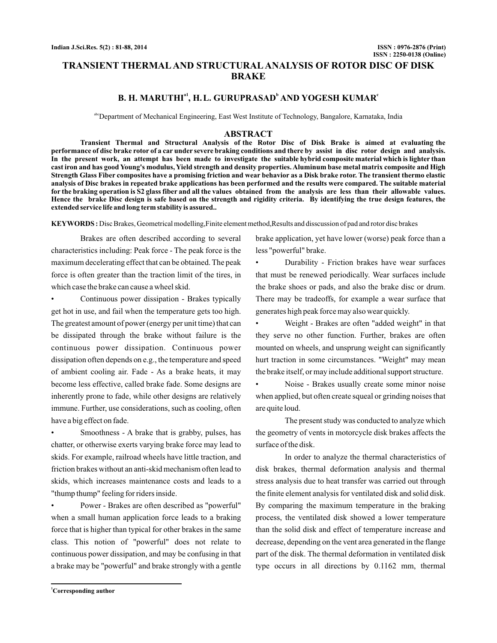# **TRANSIENT THERMAL AND STRUCTURAL ANALYSIS OF ROTOR DISC OF DISK BRAKE**

# **B. H. MARUTHI<sup>a1</sup>, H.L. GURUPRASAD<sup>b</sup> AND YOGESH KUMAR<sup>®</sup>**

abcDepartment of Mechanical Engineering, East West Institute of Technology, Bangalore, Karnataka, India

### **ABSTRACT**

**Transient Thermal and Structural Analysis of the Rotor Disc of Disk Brake is aimed at evaluating the performance of disc brake rotor of a car under severe braking conditions and there by assist in disc rotor design and analysis. In the present work, an attempt has been made to investigate the suitable hybrid composite material which is lighter than cast iron and has good Young's modulus, Yield strength and density properties. Aluminum base metal matrix composite and High Strength Glass Fiber composites have a promising friction and wear behavior as a Disk brake rotor. The transient thermo elastic analysis of Disc brakes in repeated brake applications has been performed and the results were compared. The suitable material for the braking operation is S2 glass fiber and all the values obtained from the analysis are less than their allowable values. Hence the brake Disc design is safe based on the strength and rigidity criteria. By identifying the true design features, the extended service life and long term stability is assured..**

**KEYWORDS :** Disc Brakes, Geometrical modelling,Finite element method,Results and disscussion of pad and rotor disc brakes

Brakes are often described according to several characteristics including: Peak force - The peak force is the maximum decelerating effect that can be obtained. The peak force is often greater than the traction limit of the tires, in which case the brake can cause a wheel skid.

• Continuous power dissipation - Brakes typically get hot in use, and fail when the temperature gets too high. The greatest amount of power (energy per unit time) that can be dissipated through the brake without failure is the continuous power dissipation. Continuous power dissipation often depends on e.g., the temperature and speed of ambient cooling air. Fade - As a brake heats, it may become less effective, called brake fade. Some designs are inherently prone to fade, while other designs are relatively immune. Further, use considerations, such as cooling, often have a big effect on fade.

Smoothness - A brake that is grabby, pulses, has chatter, or otherwise exerts varying brake force may lead to skids. For example, railroad wheels have little traction, and friction brakes without an anti-skid mechanism often lead to skids, which increases maintenance costs and leads to a "thump thump" feeling for riders inside.

• Power - Brakes are often described as "powerful" when a small human application force leads to a braking force that is higher than typical for other brakes in the same class. This notion of "powerful" does not relate to continuous power dissipation, and may be confusing in that a brake may be "powerful" and brake strongly with a gentle brake application, yet have lower (worse) peak force than a less "powerful" brake.

• Durability - Friction brakes have wear surfaces that must be renewed periodically. Wear surfaces include the brake shoes or pads, and also the brake disc or drum. There may be tradeoffs, for example a wear surface that generates high peak force may also wear quickly.

• Weight - Brakes are often "added weight" in that they serve no other function. Further, brakes are often mounted on wheels, and unsprung weight can significantly hurt traction in some circumstances. "Weight" may mean the brake itself, or may include additional support structure.

• Noise - Brakes usually create some minor noise when applied, but often create squeal or grinding noises that are quite loud.

The present study was conducted to analyze which the geometry of vents in motorcycle disk brakes affects the surface of the disk.

In order to analyze the thermal characteristics of disk brakes, thermal deformation analysis and thermal stress analysis due to heat transfer was carried out through the finite element analysis for ventilated disk and solid disk. By comparing the maximum temperature in the braking process, the ventilated disk showed a lower temperature than the solid disk and effect of temperature increase and decrease, depending on the vent area generated in the flange part of the disk. The thermal deformation in ventilated disk type occurs in all directions by 0.1162 mm, thermal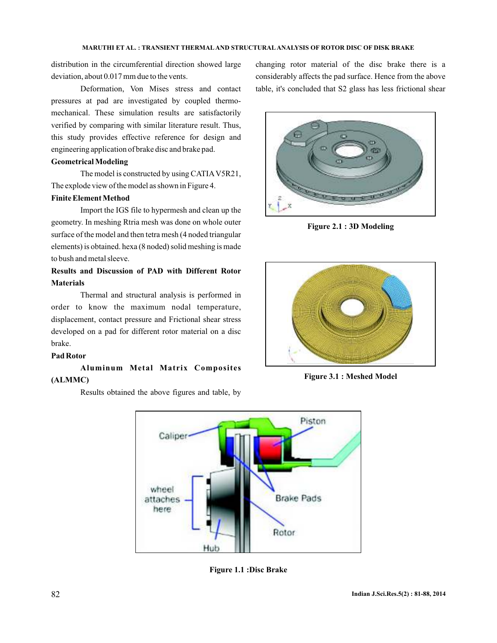distribution in the circumferential direction showed large deviation, about 0.017 mm due to the vents.

Deformation, Von Mises stress and contact pressures at pad are investigated by coupled thermomechanical. These simulation results are satisfactorily verified by comparing with similar literature result. Thus, this study provides effective reference for design and engineering application of brake disc and brake pad.

## **Geometrical Modeling**

The model is constructed by using CATIAV5R21, The explode view of the model as shown in Figure 4.

## **Finite Element Method**

Import the IGS file to hypermesh and clean up the geometry. In meshing Rtria mesh was done on whole outer surface of the model and then tetra mesh (4 noded triangular elements) is obtained. hexa (8 noded) solid meshing is made to bush and metal sleeve.

## **Results and Discussion of PAD with Different Rotor Materials**

Thermal and structural analysis is performed in order to know the maximum nodal temperature, displacement, contact pressure and Frictional shear stress developed on a pad for different rotor material on a disc brake.

#### **Pad Rotor**

## **Aluminum Metal Matrix Composites (ALMMC)**

Results obtained the above figures and table, by

changing rotor material of the disc brake there is a considerably affects the pad surface. Hence from the above table, it's concluded that S2 glass has less frictional shear



**Figure 2.1 : 3D Modeling**



**Figure 3.1 : Meshed Model**



**Figure 1.1 :Disc Brake**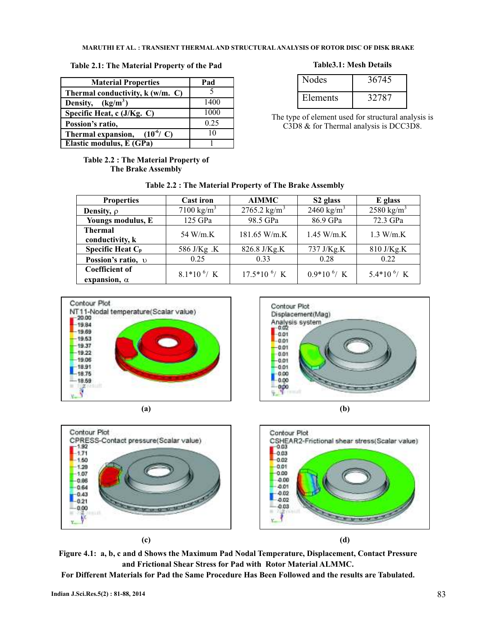### **Table 2.1: The Material Property of the Pad**

| <b>Material Properties</b>               | Pad  |
|------------------------------------------|------|
| Thermal conductivity, k (w/m. C)         |      |
| Density, $(kg/m3)$                       | 1400 |
| Specific Heat, c (J/Kg. C)               | 1000 |
| Possion's ratio,                         | 0.25 |
| $(10^6/\text{ C})$<br>Thermal expansion, | 10   |
| Elastic modulus, E (GPa)                 |      |

### **Table 2.2 : The Material Property of The Brake Assembly**

### **Table3.1: Mesh Details**

| <b>Nodes</b> | 36745 |
|--------------|-------|
| Elements     | 32787 |

The type of element used for structural analysis is C3D8 & for Thermal analysis is DCC3D8.

| <b>Properties</b>                            | <b>Cast iron</b>      | <b>AIMMC</b>             | S <sub>2</sub> glass   | E glass                 |
|----------------------------------------------|-----------------------|--------------------------|------------------------|-------------------------|
| <b>Density</b> , $\rho$                      | $7100 \text{ kg/m}^3$ | 2765.2 kg/m <sup>3</sup> | 2460 kg/m <sup>3</sup> | 2580 kg/m <sup>3</sup>  |
| Youngs modulus, E                            | 125 GPa               | 98.5 GPa                 | 86.9 GPa               | 72.3 GPa                |
| <b>Thermal</b><br>conductivity, k            | 54 W/m.K              | $181.65$ W/m.K           | 1.45 W/m.K             | 1.3 W/m.K               |
| Specific Heat C <sub>p</sub>                 | 586 J/Kg .K           | 826.8 J/Kg.K             | 737 J/Kg.K             | 810 J/Kg.K              |
| Possion's ratio, v                           | 0.25                  | 0.33                     | 0.28                   | 0.22                    |
| <b>Coefficient of</b><br>expansion, $\alpha$ | $8.1*10^{6}/K$        | $17.5*10^{6}/K$          | $0.9*10^{6}/K$         | 5.4*10 <sup>6</sup> / K |

# **Table 2.2 : The Material Property of The Brake Assembly**













**Figure 4.1: a, b, c and d Shows the Maximum Pad Nodal Temperature, Displacement, Contact Pressure and Frictional Shear Stress for Pad with Rotor Material ALMMC.**

**For Different Materials for Pad the Same Procedure Has Been Followed and the results are Tabulated.**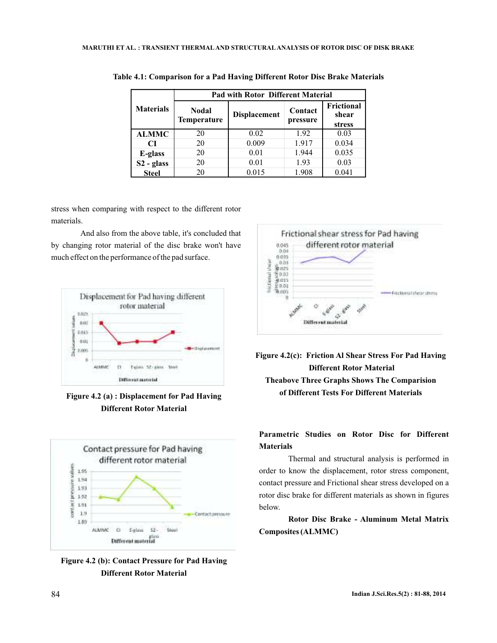|                  | <b>Pad with Rotor Different Material</b> |                     |                     |                               |
|------------------|------------------------------------------|---------------------|---------------------|-------------------------------|
| <b>Materials</b> | <b>Nodal</b><br><b>Temperature</b>       | <b>Displacement</b> | Contact<br>pressure | Frictional<br>shear<br>stress |
| <b>ALMMC</b>     | 20                                       | 0.02                | 1.92                | 0.03                          |
| CІ               | 20                                       | 0.009               | 1.917               | 0.034                         |
| E-glass          | 20                                       | 0.01                | 1.944               | 0.035                         |
| $S2 - glass$     | 20                                       | 0.01                | 1.93                | 0.03                          |
| <b>Steel</b>     | 20                                       | 0.015               | 1.908               | 0.041                         |

**Table 4.1: Comparison for a Pad Having Different Rotor Disc Brake Materials**

stress when comparing with respect to the different rotor materials.

And also from the above table, it's concluded that by changing rotor material of the disc brake won't have much effect on the performance of the pad surface.



**Different Rotor Material**



**Figure 4.2 (b): Contact Pressure for Pad Having Different Rotor Material**



**Figure 4.2(c): Friction Al Shear Stress For Pad Having Different Rotor Material Theabove Three Graphs Shows The Comparision of Different Tests For Different Materials Figure 4.2 (a) : Displacement for Pad Having**

# **Parametric Studies on Rotor Disc for Different Materials**

Thermal and structural analysis is performed in order to know the displacement, rotor stress component, contact pressure and Frictional shear stress developed on a rotor disc brake for different materials as shown in figures below.

**Rotor Disc Brake - Aluminum Metal Matrix Composites (ALMMC)**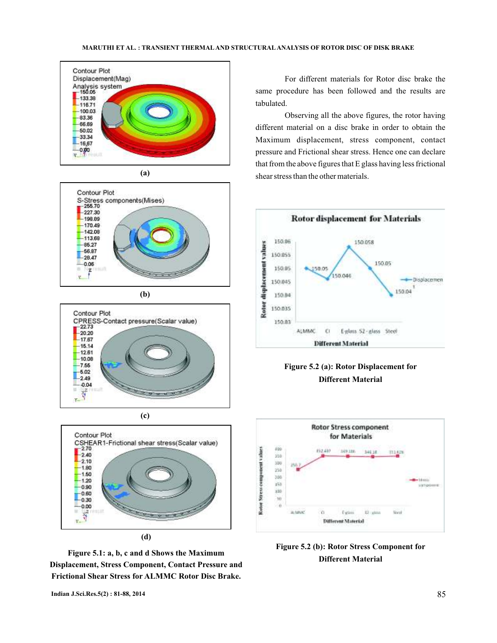



**(b)**







**Figure 5.1: a, b, c and d Shows the Maximum Displacement, Stress Component, Contact Pressure and Frictional Shear Stress for ALMMC Rotor Disc Brake.**

For different materials for Rotor disc brake the same procedure has been followed and the results are tabulated.

Observing all the above figures, the rotor having different material on a disc brake in order to obtain the Maximum displacement, stress component, contact pressure and Frictional shear stress. Hence one can declare that from the above figures that E glass having less frictional shear stress than the other materials.







**Figure 5.2 (b): Rotor Stress Component for Different Material**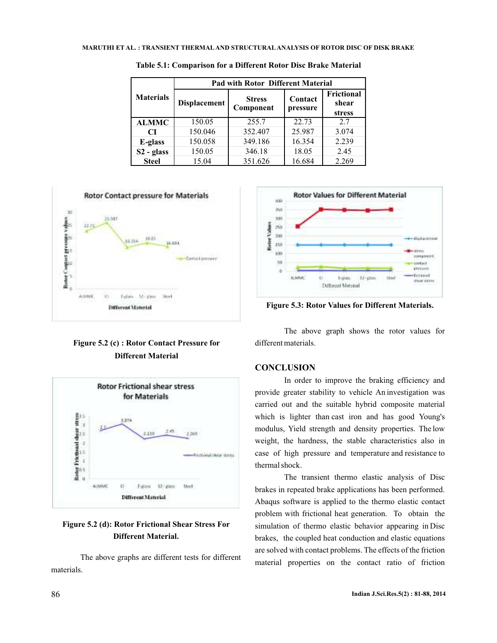|                  | <b>Pad with Rotor Different Material</b> |                            |                     |                                      |
|------------------|------------------------------------------|----------------------------|---------------------|--------------------------------------|
| <b>Materials</b> | <b>Displacement</b>                      | <b>Stress</b><br>Component | Contact<br>pressure | <b>Frictional</b><br>shear<br>stress |
| <b>ALMMC</b>     | 150.05                                   | 255.7                      | 22.73               | 2.7                                  |
| <b>CI</b>        | 150.046                                  | 352.407                    | 25.987              | 3.074                                |
| E-glass          | 150.058                                  | 349.186                    | 16.354              | 2.239                                |
| $S2 - glass$     | 150.05                                   | 346.18                     | 18.05               | 2.45                                 |
| <b>Steel</b>     | 15.04                                    | 351.626                    | 16.684              | 2.269                                |

**Table 5.1: Comparison for a Different Rotor Disc Brake Material**



# **Figure 5.2 (c) : Rotor Contact Pressure for Different Material**



## **Figure 5.2 (d): Rotor Frictional Shear Stress For Different Material.**

The above graphs are different tests for different materials.



**Figure 5.3: Rotor Values for Different Materials.**

The above graph shows the rotor values for different materials.

## **CONCLUSION**

In order to improve the braking efficiency and provide greater stability to vehicle An investigation was carried out and the suitable hybrid composite material which is lighter than cast iron and has good Young's modulus, Yield strength and density properties. The low weight, the hardness, the stable characteristics also in case of high pressure and temperature and resistance to thermal shock.

The transient thermo elastic analysis of Disc brakes in repeated brake applications has been performed. Abaqus software is applied to the thermo elastic contact problem with frictional heat generation. To obtain the simulation of thermo elastic behavior appearing in Disc brakes, the coupled heat conduction and elastic equations are solved with contact problems. The effects of the friction material properties on the contact ratio of friction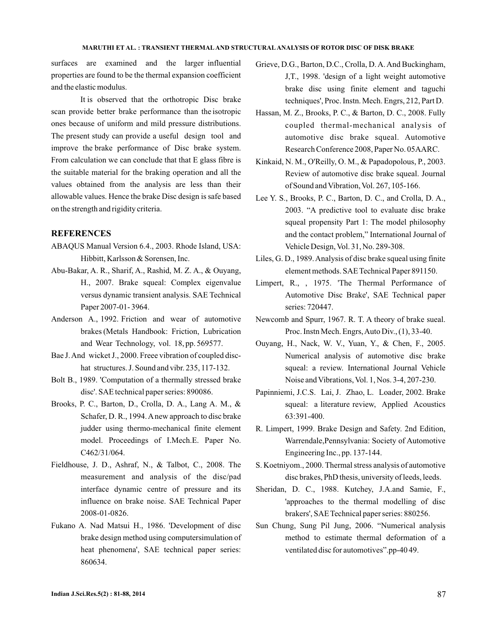surfaces are examined and the larger influential properties are found to be the thermal expansion coefficient and the elastic modulus.

It is observed that the orthotropic Disc brake scan provide better brake performance than the isotropic ones because of uniform and mild pressure distributions. The present study can provide a useful design tool and improve the brake performance of Disc brake system. From calculation we can conclude that that E glass fibre is the suitable material for the braking operation and all the values obtained from the analysis are less than their allowable values. Hence the brake Disc design is safe based on the strength and rigidity criteria.

### **REFERENCES**

- ABAQUS Manual Version 6.4., 2003. Rhode Island, USA: Hibbitt, Karlsson & Sorensen, Inc.
- Abu-Bakar, A. R., Sharif, A., Rashid, M. Z. A., & Ouyang, H., 2007. Brake squeal: Complex eigenvalue versus dynamic transient analysis. SAE Technical Paper 2007-01- 3964.
- Anderson A., 1992. Friction and wear of automotive brakes (Metals Handbook: Friction, Lubrication and Wear Technology, vol. 18, pp. 569577.
- Bae J.And wicket J., 2000. Freee vibration of coupled dischat structures. J. Sound and vibr. 235, 117-132.
- Bolt B., 1989. 'Computation of a thermally stressed brake disc'. SAE technical paper series: 890086.
- Brooks, P. C., Barton, D., Crolla, D. A., Lang A. M., & Schafer, D. R., 1994.Anew approach to disc brake judder using thermo-mechanical finite element model. Proceedings of I.Mech.E. Paper No. C462/31/064.
- Fieldhouse, J. D., Ashraf, N., & Talbot, C., 2008. The measurement and analysis of the disc/pad interface dynamic centre of pressure and its influence on brake noise. SAE Technical Paper 2008-01-0826.
- Fukano A. Nad Matsui H., 1986. 'Development of disc brake design method using computersimulation of heat phenomena', SAE technical paper series: 860634.
- Grieve, D.G., Barton, D.C., Crolla, D. A. And Buckingham, J,T., 1998. 'design of a light weight automotive brake disc using finite element and taguchi techniques', Proc. Instn. Mech. Engrs, 212, Part D.
- Hassan, M. Z., Brooks, P. C., & Barton, D. C., 2008. Fully coupled thermal-mechanical analysis of automotive disc brake squeal. Automotive Research Conference 2008, Paper No. 05AARC.
- Kinkaid, N. M., O'Reilly, O. M., & Papadopolous, P., 2003. Review of automotive disc brake squeal. Journal of Sound and Vibration, Vol. 267, 105-166.
- Lee Y. S., Brooks, P. C., Barton, D. C., and Crolla, D. A., 2003. "A predictive tool to evaluate disc brake squeal propensity Part 1: The model philosophy and the contact problem," International Journal of Vehicle Design, Vol. 31, No. 289-308.
- Liles, G. D., 1989.Analysis of disc brake squeal using finite element methods. SAE Technical Paper 891150.
- Limpert, R., , 1975. 'The Thermal Performance of Automotive Disc Brake', SAE Technical paper series: 720447.
- Newcomb and Spurr, 1967. R. T. A theory of brake sueal. Proc. Instn Mech. Engrs,Auto Div., (1), 33-40.
- Ouyang, H., Nack, W. V., Yuan, Y., & Chen, F., 2005. Numerical analysis of automotive disc brake squeal: a review. International Journal Vehicle Noise and Vibrations, Vol. 1, Nos. 3-4, 207-230.
- Papinniemi, J.C.S. Lai, J. Zhao, L. Loader, 2002. Brake squeal: a literature review, Applied Acoustics 63:391-400.
- R. Limpert, 1999. Brake Design and Safety. 2nd Edition, Warrendale,Pennsylvania: Society of Automotive Engineering Inc., pp. 137-144.
- S. Koetniyom., 2000. Thermal stress analysis of automotive disc brakes, PhD thesis, university of leeds, leeds.
- Sheridan, D. C., 1988. Kutchey, J.A.and Samie, F., 'approaches to the thermal modelling of disc brakers', SAE Technical paper series: 880256.
- Sun Chung, Sung Pil Jung, 2006. "Numerical analysis method to estimate thermal deformation of a ventilated disc for automotives".pp-40 49.